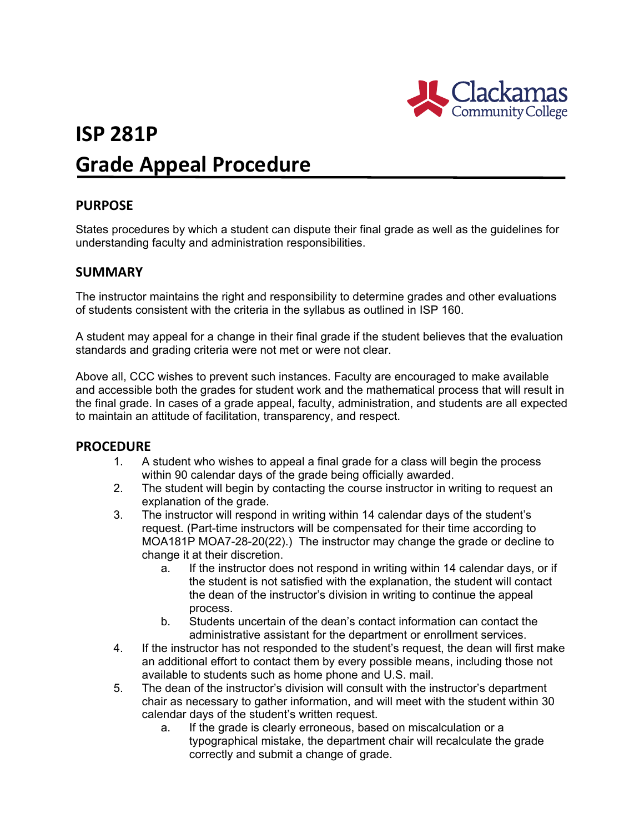

# **ISP 281P Grade Appeal Procedure**

# **PURPOSE**

States procedures by which a student can dispute their final grade as well as the guidelines for understanding faculty and administration responsibilities.

# **SUMMARY**

The instructor maintains the right and responsibility to determine grades and other evaluations of students consistent with the criteria in the syllabus as outlined in ISP 160.

A student may appeal for a change in their final grade if the student believes that the evaluation standards and grading criteria were not met or were not clear.

Above all, CCC wishes to prevent such instances. Faculty are encouraged to make available and accessible both the grades for student work and the mathematical process that will result in the final grade. In cases of a grade appeal, faculty, administration, and students are all expected to maintain an attitude of facilitation, transparency, and respect.

#### **PROCEDURE**

- 1. A student who wishes to appeal a final grade for a class will begin the process within 90 calendar days of the grade being officially awarded.
- 2. The student will begin by contacting the course instructor in writing to request an explanation of the grade.
- 3. The instructor will respond in writing within 14 calendar days of the student's request. (Part-time instructors will be compensated for their time according to MOA181P MOA7-28-20(22).) The instructor may change the grade or decline to change it at their discretion.
	- a. If the instructor does not respond in writing within 14 calendar days, or if the student is not satisfied with the explanation, the student will contact the dean of the instructor's division in writing to continue the appeal process.
	- b. Students uncertain of the dean's contact information can contact the administrative assistant for the department or enrollment services.
- 4. If the instructor has not responded to the student's request, the dean will first make an additional effort to contact them by every possible means, including those not available to students such as home phone and U.S. mail.
- 5. The dean of the instructor's division will consult with the instructor's department chair as necessary to gather information, and will meet with the student within 30 calendar days of the student's written request.
	- a. If the grade is clearly erroneous, based on miscalculation or a typographical mistake, the department chair will recalculate the grade correctly and submit a change of grade.